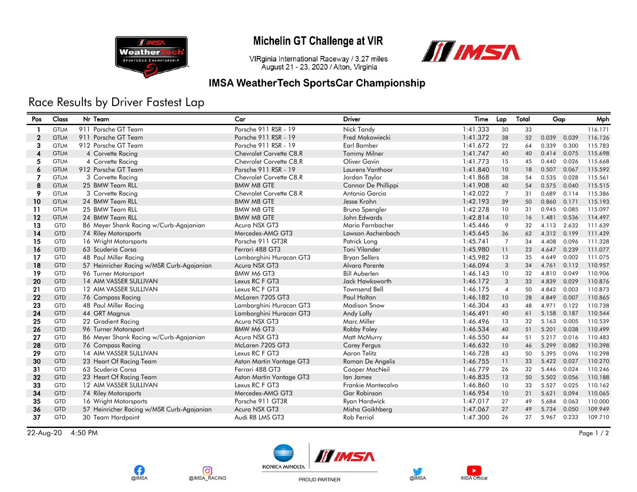

### Michelin GT Challenge at VIR

III IMSA VIRginia International Raceway / 3.27 miles

### August 21 - 23, 2020 / Alton, Virginia **IMSA WeatherTech SportsCar Championship**

# Race Results by Driver Fastest Lap

| Pos          | Class       | Nr Team                                   | Car                      | <b>Driver</b>         | Time     | Lap             | Total | Gap   |       | Mph     |
|--------------|-------------|-------------------------------------------|--------------------------|-----------------------|----------|-----------------|-------|-------|-------|---------|
| -1           | <b>GTLM</b> | 911 Porsche GT Team                       | Porsche 911 RSR - 19     | Nick Tandy            | 1:41.333 | 30              | 33    |       |       | 116.171 |
| $\mathbf{2}$ | <b>GTLM</b> | 911 Porsche GT Team                       | Porsche 911 RSR - 19     | Fred Makowiecki       | 1:41.372 | 38              | 52    | 0.039 | 0.039 | 116.126 |
| 3            | <b>GTLM</b> | 912 Porsche GT Team                       | Porsche 911 RSR - 19     | <b>Earl Bamber</b>    | 1:41.672 | 22              | 64    | 0.339 | 0.300 | 115.783 |
| 4            | <b>GTLM</b> | 4 Corvette Racing                         | Chevrolet Corvette C8.R  | <b>Tommy Milner</b>   | 1:41.747 | 40              | 40    | 0.414 | 0.075 | 115.698 |
| 5            | <b>GTLM</b> | 4 Corvette Racing                         | Chevrolet Corvette C8.R  | Oliver Gavin          | 1:41.773 | 15              | 45    | 0.440 | 0.026 | 115.668 |
| 6            | <b>GTLM</b> | 912 Porsche GT Team                       | Porsche 911 RSR - 19     | Laurens Vanthoor      | 1:41.840 | 10 <sup>°</sup> | 18    | 0.507 | 0.067 | 115.592 |
| 7            | <b>GTLM</b> | 3 Corvette Racing                         | Chevrolet Corvette C8.R  | Jordan Taylor         | 1:41.868 | 38              | 54    | 0.535 | 0.028 | 115.561 |
| 8            | <b>GTLM</b> | 25 BMW Team RLL                           | <b>BMW M8 GTE</b>        | Connor De Phillippi   | 1:41.908 | 40              | 54    | 0.575 | 0.040 | 115.515 |
| 9            | <b>GTLM</b> | 3 Corvette Racing                         | Chevrolet Corvette C8.R  | Antonio Garcia        | 1:42.022 | $\overline{7}$  | 31    | 0.689 | 0.114 | 115.386 |
| 10           | <b>GTLM</b> | 24 BMW Team RLL                           | <b>BMW M8 GTE</b>        | Jesse Krohn           | 1:42.193 | 39              | 50    | 0.860 | 0.171 | 115.193 |
| 11           | <b>GTLM</b> | 25 BMW Team RLL                           | <b>BMW M8 GTE</b>        | <b>Bruno Spengler</b> | 1:42.278 | 10 <sup>°</sup> | 31    | 0.945 | 0.085 | 115.097 |
| 12           | <b>GTLM</b> | 24 BMW Team RLL                           | <b>BMW M8 GTE</b>        | John Edwards          | 1:42.814 | 10 <sup>°</sup> | 16    | 1.481 | 0.536 | 114.497 |
| 13           | GTD         | 86 Meyer Shank Racing w/Curb-Agajanian    | Acura NSX GT3            | Mario Farnbacher      | 1:45.446 | 9               | 32    | 4.113 | 2.632 | 111.639 |
| 14           | <b>GTD</b>  | 74 Riley Motorsports                      | Mercedes-AMG GT3         | Lawson Aschenbach     | 1:45.645 | 36              | 62    | 4.312 | 0.199 | 111.429 |
| 15           | <b>GTD</b>  | 16 Wright Motorsports                     | Porsche 911 GT3R         | Patrick Long          | 1:45.741 | $\overline{7}$  | 34    | 4.408 | 0.096 | 111.328 |
| 16           | <b>GTD</b>  | 63 Scuderia Corsa                         | Ferrari 488 GT3          | Toni Vilander         | 1:45.980 | 11              | 23    | 4.647 | 0.239 | 111.077 |
| 17           | <b>GTD</b>  | 48 Paul Miller Racing                     | Lamborghini Huracan GT3  | <b>Bryan Sellers</b>  | 1:45.982 | 13              | 35    | 4.649 | 0.002 | 111.075 |
| 18           | <b>GTD</b>  | 57 Heinricher Racing w/MSR Curb-Agajanian | Acura NSX GT3            | Alvaro Parente        | 1:46.094 | 3               | 34    | 4.761 | 0.112 | 110.957 |
| 19           | <b>GTD</b>  | 96 Turner Motorsport                      | BMW M6 GT3               | <b>Bill Auberlen</b>  | 1:46.143 | 10 <sup>°</sup> | 32    | 4.810 | 0.049 | 110.906 |
| 20           | <b>GTD</b>  | 14 AIM VASSER SULLIVAN                    | Lexus RC F GT3           | Jack Hawksworth       | 1:46.172 | 3               | 33    | 4.839 | 0.029 | 110.876 |
| 21           | <b>GTD</b>  | 12 AIM VASSER SULLIVAN                    | Lexus RC F GT3           | <b>Townsend Bell</b>  | 1:46.175 | $\overline{4}$  | 50    | 4.842 | 0.003 | 110.873 |
| 22           | <b>GTD</b>  | 76 Compass Racing                         | McLaren 720S GT3         | <b>Paul Holton</b>    | 1:46.182 | 10 <sup>°</sup> | 28    | 4.849 | 0.007 | 110.865 |
| 23           | <b>GTD</b>  | 48 Paul Miller Racing                     | Lamborghini Huracan GT3  | <b>Madison Snow</b>   | 1:46.304 | 43              | 48    | 4.971 | 0.122 | 110.738 |
| 24           | <b>GTD</b>  | 44 GRT Magnus                             | Lamborghini Huracan GT3  | Andy Lally            | 1:46.491 | 40              | 61    | 5.158 | 0.187 | 110.544 |
| 25           | GTD         | 22 Gradient Racing                        | Acura NSX GT3            | Marc Miller           | 1:46.496 | 13              | 32    | 5.163 | 0.005 | 110.539 |
| 26           | <b>GTD</b>  | 96 Turner Motorsport                      | BMW M6 GT3               | Robby Foley           | 1:46.534 | 40              | 51    | 5.201 | 0.038 | 110.499 |
| 27           | <b>GTD</b>  | 86 Meyer Shank Racing w/Curb-Agajanian    | Acura NSX GT3            | Matt McMurry          | 1:46.550 | 44              | 51    | 5.217 | 0.016 | 110.483 |
| 28           | <b>GTD</b>  | 76 Compass Racing                         | McLaren 720S GT3         | Corey Fergus          | 1:46.632 | 10 <sup>°</sup> | 46    | 5.299 | 0.082 | 110.398 |
| 29           | <b>GTD</b>  | 14 AIM VASSER SULLIVAN                    | Lexus RC F GT3           | <b>Aaron Telitz</b>   | 1:46.728 | 43              | 50    | 5.395 | 0.096 | 110.298 |
| 30           | <b>GTD</b>  | 23 Heart Of Racing Team                   | Aston Martin Vantage GT3 | Roman De Angelis      | 1:46.755 | 11              | 33    | 5.422 | 0.027 | 110.270 |
| 31           | <b>GTD</b>  | 63 Scuderia Corsa                         | Ferrari 488 GT3          | Cooper MacNeil        | 1:46.779 | 26              | 32    | 5.446 | 0.024 | 110.246 |
| 32           | <b>GTD</b>  | 23 Heart Of Racing Team                   | Aston Martin Vantage GT3 | lan James             | 1:46.835 | 13              | 50    | 5.502 | 0.056 | 110.188 |
| 33           | <b>GTD</b>  | 12 AIM VASSER SULLIVAN                    | Lexus RC F GT3           | Frankie Montecalvo    | 1:46.860 | 10              | 33    | 5.527 | 0.025 | 110.162 |
| 34           | <b>GTD</b>  | 74 Riley Motorsports                      | Mercedes-AMG GT3         | <b>Gar Robinson</b>   | 1:46.954 | 10 <sup>°</sup> | 21    | 5.621 | 0.094 | 110.065 |
| 35           | <b>GTD</b>  | 16 Wright Motorsports                     | Porsche 911 GT3R         | Ryan Hardwick         | 1:47.017 | 27              | 49    | 5.684 | 0.063 | 110.000 |
| 36           | <b>GTD</b>  | 57 Heinricher Racing w/MSR Curb-Agajanian | Acura NSX GT3            | Misha Goikhberg       | 1:47.067 | 27              | 49    | 5.734 | 0.050 | 109.949 |
| 37           | <b>GTD</b>  | 30 Team Hardpoint                         | Audi R8 LMS GT3          | Rob Ferriol           | 1:47.300 | 26              | 27    | 5.967 | 0.233 | 109.710 |

22-Aug-20 4:50 PM Page 1 / 2







PROUD PARTNER